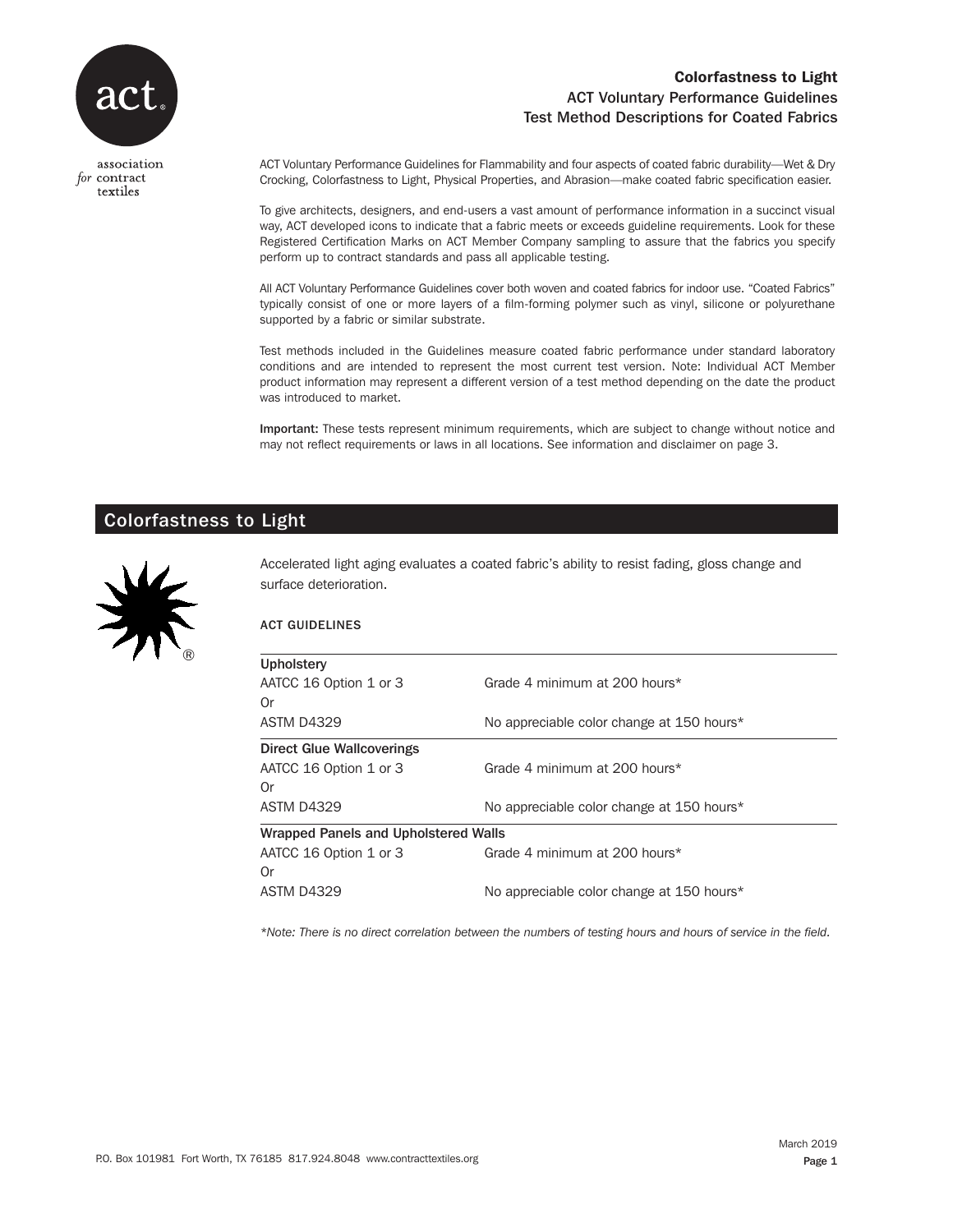

association for contract textiles

## Colorfastness to Light ACT Voluntary Performance Guidelines Test Method Descriptions for Coated Fabrics

ACT Voluntary Performance Guidelines for Flammability and four aspects of coated fabric durability—Wet & Dry Crocking, Colorfastness to Light, Physical Properties, and Abrasion—make coated fabric specification easier.

To give architects, designers, and end-users a vast amount of performance information in a succinct visual way, ACT developed icons to indicate that a fabric meets or exceeds guideline requirements. Look for these Registered Certification Marks on ACT Member Company sampling to assure that the fabrics you specify perform up to contract standards and pass all applicable testing.

All ACT Voluntary Performance Guidelines cover both woven and coated fabrics for indoor use. "Coated Fabrics" typically consist of one or more layers of a film-forming polymer such as vinyl, silicone or polyurethane supported by a fabric or similar substrate.

Test methods included in the Guidelines measure coated fabric performance under standard laboratory conditions and are intended to represent the most current test version. Note: Individual ACT Member product information may represent a different version of a test method depending on the date the product was introduced to market.

Important: These tests represent minimum requirements, which are subject to change without notice and may not reflect requirements or laws in all locations. See information and disclaimer on page 3.

# Colorfastness to Light



Accelerated light aging evaluates a coated fabric's ability to resist fading, gloss change and surface deterioration.

### ACT GUIDELINES

| <b>Upholstery</b>                    |                                           |
|--------------------------------------|-------------------------------------------|
| AATCC 16 Option 1 or 3               | Grade 4 minimum at 200 hours*             |
| Or                                   |                                           |
| ASTM D4329                           | No appreciable color change at 150 hours* |
| <b>Direct Glue Wallcoverings</b>     |                                           |
| AATCC 16 Option 1 or 3               | Grade 4 minimum at 200 hours*             |
| Or                                   |                                           |
| <b>ASTM D4329</b>                    | No appreciable color change at 150 hours* |
| Wrapped Panels and Upholstered Walls |                                           |
| AATCC 16 Option 1 or 3               | Grade 4 minimum at 200 hours*             |
| Or                                   |                                           |
| <b>ASTM D4329</b>                    | No appreciable color change at 150 hours* |
|                                      |                                           |

*\*Note: There is no direct correlation between the numbers of testing hours and hours of service in the field.*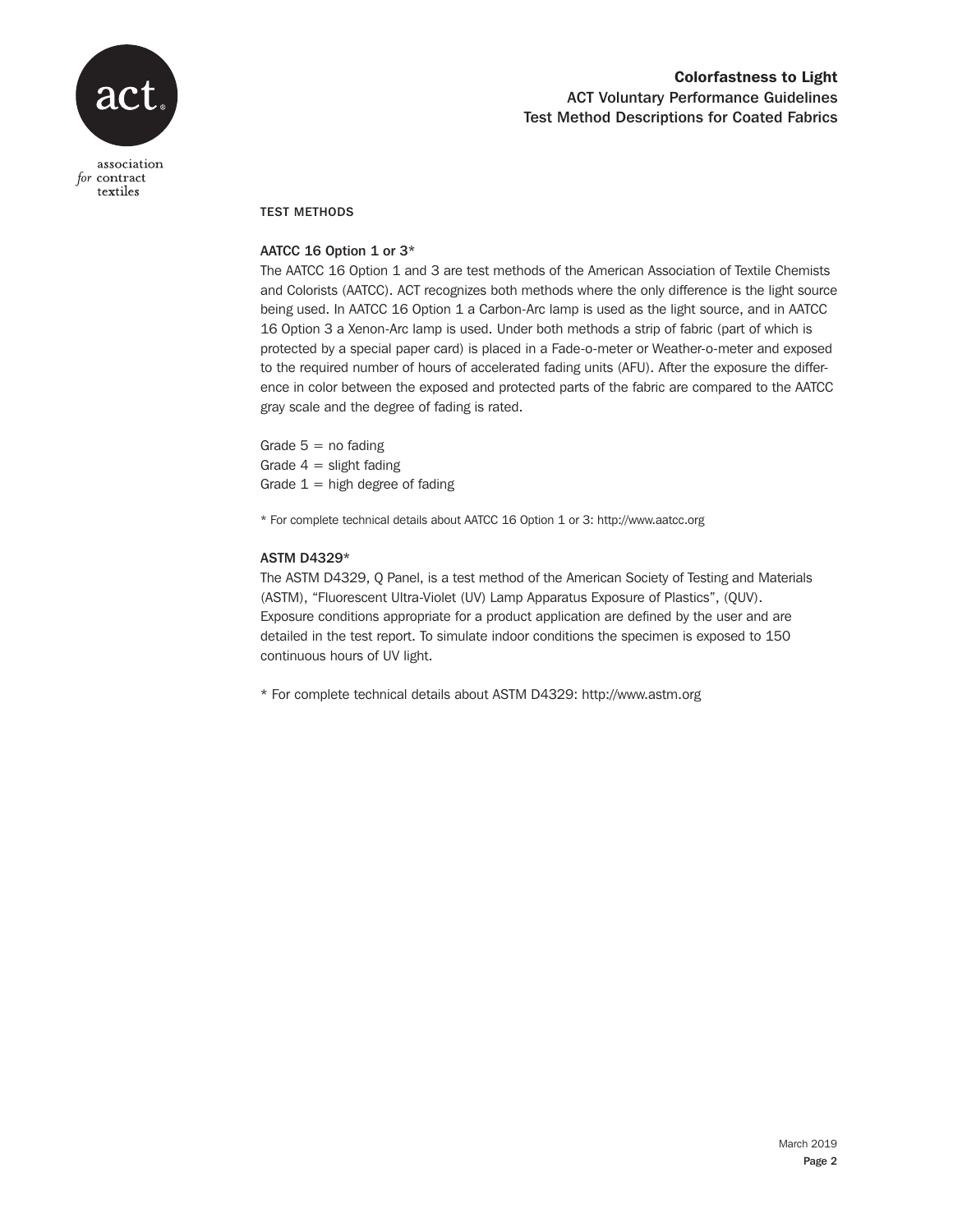

textiles

# Colorfastness to Light ACT Voluntary Performance Guidelines Test Method Descriptions for Coated Fabrics

# TEST METHODS

## AATCC 16 Option 1 or 3\*

The AATCC 16 Option 1 and 3 are test methods of the American Association of Textile Chemists and Colorists (AATCC). ACT recognizes both methods where the only difference is the light source being used. In AATCC 16 Option 1 a Carbon-Arc lamp is used as the light source, and in AATCC 16 Option 3 a Xenon-Arc lamp is used. Under both methods a strip of fabric (part of which is protected by a special paper card) is placed in a Fade-o-meter or Weather-o-meter and exposed to the required number of hours of accelerated fading units (AFU). After the exposure the difference in color between the exposed and protected parts of the fabric are compared to the AATCC gray scale and the degree of fading is rated.

Grade  $5 =$  no fading Grade  $4 =$  slight fading Grade  $1 =$  high degree of fading

\* For complete technical details about AATCC 16 Option 1 or 3: http://www.aatcc.org

### ASTM D4329\*

The ASTM D4329, Q Panel, is a test method of the American Society of Testing and Materials (ASTM), "Fluorescent Ultra-Violet (UV) Lamp Apparatus Exposure of Plastics", (QUV). Exposure conditions appropriate for a product application are defined by the user and are detailed in the test report. To simulate indoor conditions the specimen is exposed to 150 continuous hours of UV light.

\* For complete technical details about ASTM D4329: http://www.astm.org